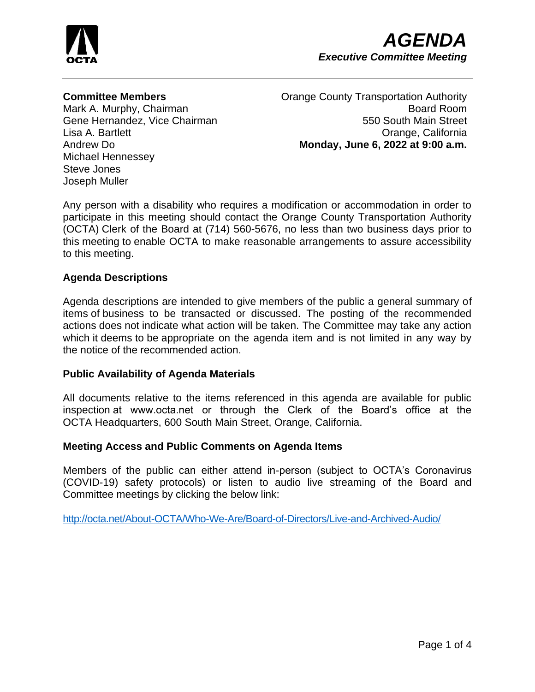

## **Committee Members**

Mark A. Murphy, Chairman Gene Hernandez, Vice Chairman Lisa A. Bartlett Andrew Do Michael Hennessey Steve Jones Joseph Muller

Orange County Transportation Authority Board Room 550 South Main Street Orange, California **Monday, June 6, 2022 at 9:00 a.m.**

Any person with a disability who requires a modification or accommodation in order to participate in this meeting should contact the Orange County Transportation Authority (OCTA) Clerk of the Board at (714) 560-5676, no less than two business days prior to this meeting to enable OCTA to make reasonable arrangements to assure accessibility to this meeting.

### **Agenda Descriptions**

Agenda descriptions are intended to give members of the public a general summary of items of business to be transacted or discussed. The posting of the recommended actions does not indicate what action will be taken. The Committee may take any action which it deems to be appropriate on the agenda item and is not limited in any way by the notice of the recommended action.

### **Public Availability of Agenda Materials**

All documents relative to the items referenced in this agenda are available for public inspection at www.octa.net or through the Clerk of the Board's office at the OCTA Headquarters, 600 South Main Street, Orange, California.

### **Meeting Access and Public Comments on Agenda Items**

Members of the public can either attend in-person (subject to OCTA's Coronavirus (COVID-19) safety protocols) or listen to audio live streaming of the Board and Committee meetings by clicking the below link:

<http://octa.net/About-OCTA/Who-We-Are/Board-of-Directors/Live-and-Archived-Audio/>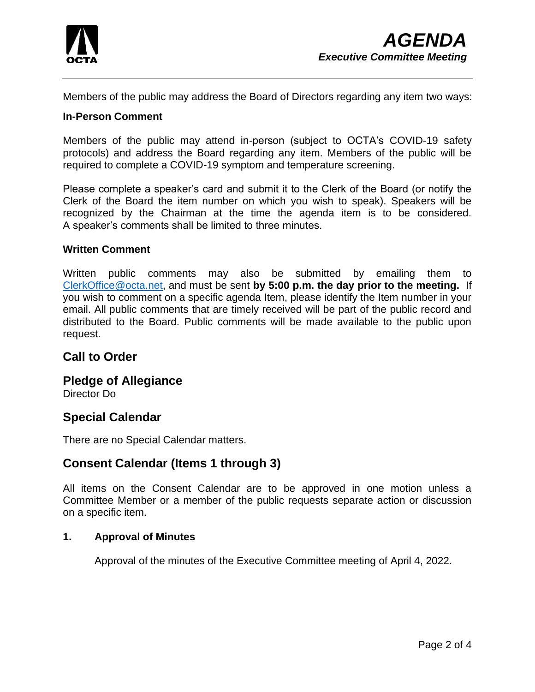

Members of the public may address the Board of Directors regarding any item two ways:

#### **In-Person Comment**

Members of the public may attend in-person (subject to OCTA's COVID-19 safety protocols) and address the Board regarding any item. Members of the public will be required to complete a COVID-19 symptom and temperature screening.

Please complete a speaker's card and submit it to the Clerk of the Board (or notify the Clerk of the Board the item number on which you wish to speak). Speakers will be recognized by the Chairman at the time the agenda item is to be considered. A speaker's comments shall be limited to three minutes.

#### **Written Comment**

Written public comments may also be submitted by emailing them to [ClerkOffice@octa.net,](mailto:ClerkOffice@octa.net) and must be sent **by 5:00 p.m. the day prior to the meeting.** If you wish to comment on a specific agenda Item, please identify the Item number in your email. All public comments that are timely received will be part of the public record and distributed to the Board. Public comments will be made available to the public upon request.

# **Call to Order**

# **Pledge of Allegiance**

Director Do

# **Special Calendar**

There are no Special Calendar matters.

# **Consent Calendar (Items 1 through 3)**

All items on the Consent Calendar are to be approved in one motion unless a Committee Member or a member of the public requests separate action or discussion on a specific item.

#### **1. Approval of Minutes**

Approval of the minutes of the Executive Committee meeting of April 4, 2022.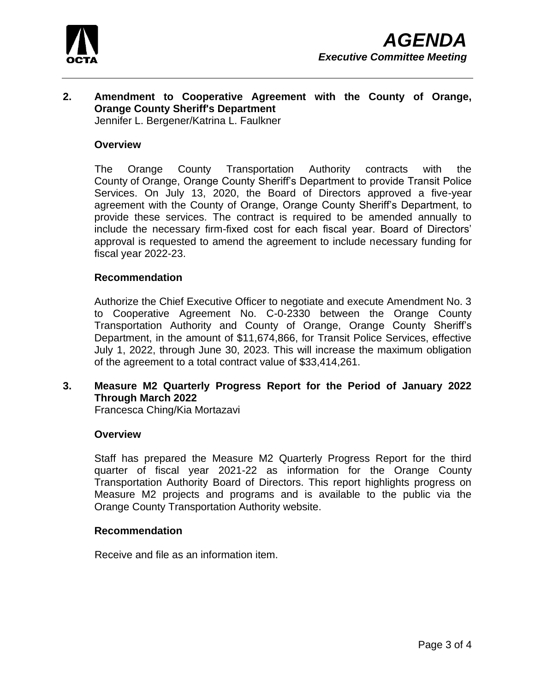

# **2. Amendment to Cooperative Agreement with the County of Orange, Orange County Sheriff's Department**

Jennifer L. Bergener/Katrina L. Faulkner

#### **Overview**

The Orange County Transportation Authority contracts with the County of Orange, Orange County Sheriff's Department to provide Transit Police Services. On July 13, 2020, the Board of Directors approved a five-year agreement with the County of Orange, Orange County Sheriff's Department, to provide these services. The contract is required to be amended annually to include the necessary firm-fixed cost for each fiscal year. Board of Directors' approval is requested to amend the agreement to include necessary funding for fiscal year 2022-23.

#### **Recommendation**

Authorize the Chief Executive Officer to negotiate and execute Amendment No. 3 to Cooperative Agreement No. C-0-2330 between the Orange County Transportation Authority and County of Orange, Orange County Sheriff's Department, in the amount of \$11,674,866, for Transit Police Services, effective July 1, 2022, through June 30, 2023. This will increase the maximum obligation of the agreement to a total contract value of \$33,414,261.

## **3. Measure M2 Quarterly Progress Report for the Period of January 2022 Through March 2022**

Francesca Ching/Kia Mortazavi

#### **Overview**

Staff has prepared the Measure M2 Quarterly Progress Report for the third quarter of fiscal year 2021-22 as information for the Orange County Transportation Authority Board of Directors. This report highlights progress on Measure M2 projects and programs and is available to the public via the Orange County Transportation Authority website.

#### **Recommendation**

Receive and file as an information item.